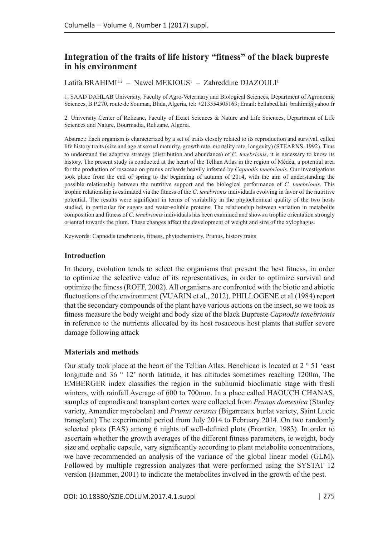### **Integration of the traits of life history "fitness" of the black bupreste in his environment**

Latifa BRAHIMI<sup>1.2</sup> – Nawel MEKIOUS<sup>1</sup> – Zahreddine DJAZOULI<sup>1</sup>

1. SAAD DAHLAB University, Faculty of Agro-Veterinary and Biological Sciences, Department of Agronomic Sciences, B.P.270, route de Soumaa, Blida, Algeria, tel: +213554505163; Email: [bellabed.lati\\_brahimi@yahoo.fr](mailto:bellabed.lati_brahimi@yahoo.fr)

2. University Center of Relizane, Faculty of Exact Sciences & Nature and Life Sciences, Department of Life Sciences and Nature, Bourmadia, Relizane, Algeria.

Abstract: Each organism is characterized by a set of traits closely related to its reproduction and survival, called life history traits (size and age at sexual maturity, growth rate, mortality rate, longevity) (STEARNS, 1992). Thus to understand the adaptive strategy (distribution and abundance) of *C. tenebrionis*, it is necessary to know its history. The present study is conducted at the heart of the Tellian Atlas in the region of Médéa, a potential area for the production of rosaceae on prunus orchards heavily infested by *Capnodis tenebrionis*. Our investigations took place from the end of spring to the beginning of autumn of 2014, with the aim of understanding the possible relationship between the nutritive support and the biological performance of *C. tenebrionis*. This trophic relationship is estimated via the fitness of the *C*. *tenebrionis* individuals evolving in favor of the nutritive potential. The results were significant in terms of variability in the phytochemical quality of the two hosts studied, in particular for sugars and water-soluble proteins. The relationship between variation in metabolite composition and fitness of *C*. *tenebrionis* individuals has been examined and shows a trophic orientation strongly oriented towards the plum. These changes affect the development of weight and size of the xylophagus.

Keywords: Capnodis tenebrionis, fitness, phytochemistry, Prunus, history traits

#### **Introduction**

In theory, evolution tends to select the organisms that present the best fitness, in order to optimize the selective value of its representatives, in order to optimize survival and optimize the fitness (ROFF, 2002). All organisms are confronted with the biotic and abiotic fluctuations of the environment (VUARIN et al., 2012). PHILLOGENE et al.(1984) report that the secondary compounds of the plant have various actions on the insect, so we took as fitness measure the body weight and body size of the black Bupreste *Capnodis tenebrionis* in reference to the nutrients allocated by its host rosaceous host plants that suffer severe damage following attack

#### **Materials and methods**

Our study took place at the heart of the Tellian Atlas. Benchicao is located at  $2^{\circ}51$  'east longitude and 36 ° 12' north latitude, it has altitudes sometimes reaching 1200m, The EMBERGER index classifies the region in the subhumid bioclimatic stage with fresh winters, with rainfall Average of 600 to 700mm. In a place called HAOUCH CHANAS, samples of capnodis and transplant cortex were collected from *Prunus domestica* (Stanley variety, Amandier myrobolan) and *Prunus cerasus* (Bigarreaux burlat variety, Saint Lucie transplant) The experimental period from July 2014 to February 2014. On two randomly selected plots (EAS) among 6 nights of well-defined plots (Frontier, 1983). In order to ascertain whether the growth averages of the different fitness parameters, ie weight, body size and cephalic capsule, vary significantly according to plant metabolite concentrations, we have recommended an analysis of the variance of the global linear model (GLM). Followed by multiple regression analyzes that were performed using the SYSTAT 12 version (Hammer, 2001) to indicate the metabolites involved in the growth of the pest.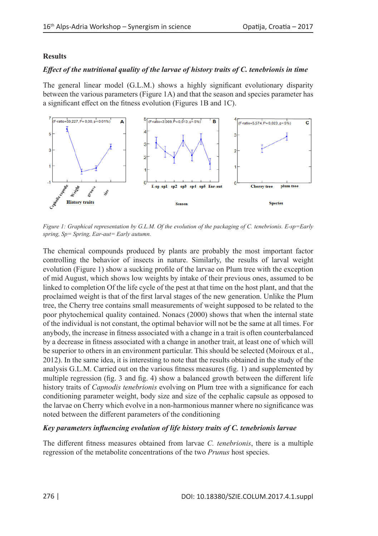#### **Results**

#### *Effect of the nutritional quality of the larvae of history traits of C. tenebrionis in time*

The general linear model (G.L.M.) shows a highly significant evolutionary disparity between the various parameters (Figure 1A) and that the season and species parameter has a significant effect on the fitness evolution (Figures 1B and 1C).



*Figure 1: Graphical representation by G.L.M. Of the evolution of the packaging of C. tenebrionis. E-sp=Early spring, Sp= Spring, Ear-aut= Early autumn.* 

The chemical compounds produced by plants are probably the most important factor controlling the behavior of insects in nature. Similarly, the results of larval weight evolution (Figure 1) show a sucking profile of the larvae on Plum tree with the exception of mid August, which shows low weights by intake of their previous ones, assumed to be linked to completion Of the life cycle of the pest at that time on the host plant, and that the proclaimed weight is that of the first larval stages of the new generation. Unlike the Plum tree, the Cherry tree contains small measurements of weight supposed to be related to the poor phytochemical quality contained. Nonacs (2000) shows that when the internal state of the individual is not constant, the optimal behavior will not be the same at all times. For anybody, the increase in fitness associated with a change in a trait is often counterbalanced by a decrease in fitness associated with a change in another trait, at least one of which will be superior to others in an environment particular. This should be selected (Moiroux et al., 2012). In the same idea, it is interesting to note that the results obtained in the study of the analysis G.L.M. Carried out on the various fitness measures (fig. 1) and supplemented by multiple regression (fig. 3 and fig. 4) show a balanced growth between the different life history traits of *Capnodis tenebrionis* evolving on Plum tree with a significance for each conditioning parameter weight, body size and size of the cephalic capsule as opposed to the larvae on Cherry which evolve in a non-harmonious manner where no significance was noted between the different parameters of the conditioning

#### *Key parameters influencing evolution of life history traits of C. tenebrionis larvae*

The different fitness measures obtained from larvae *C. tenebrionis*, there is a multiple regression of the metabolite concentrations of the two *Prunus* host species.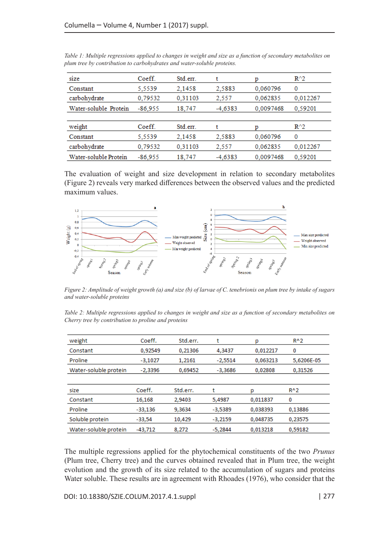| size                  | Coeff.    | Std.err. |           | р         | $R^{\wedge}2$ |
|-----------------------|-----------|----------|-----------|-----------|---------------|
| Constant              | 5,5539    | 2,1458   | 2,5883    | 0,060796  | $^{\circ}$    |
| carbohydrate          | 0.79532   | 0.31103  | 2,557     | 0.062835  | 0.012267      |
| Water-soluble Protein | $-86,955$ | 18,747   | $-4,6383$ | 0,0097468 | 0.59201       |
|                       |           |          |           |           |               |
| weight                | Coeff.    | Std.err. |           | p         | $R^{\wedge}2$ |
| Constant              | 5,5539    | 2,1458   | 2,5883    | 0,060796  | $\mathbf 0$   |
| carbohydrate          | 0,79532   | 0,31103  | 2,557     | 0,062835  | 0,012267      |
| Water-soluble Protein | $-86.955$ | 18.747   | $-4.6383$ | 0.0097468 | 0.59201       |

*Table 1: Multiple regressions applied to changes in weight and size as a function of secondary metabolites on plum tree by contribution to carbohydrates and water-soluble proteins.* 

The evaluation of weight and size development in relation to secondary metabolites (Figure 2) reveals very marked differences between the observed values and the predicted maximum values.



*Figure 2: Amplitude of weight growth (a) and size (b) of larvae of C. tenebrionis on plum tree by intake of sugars and water-soluble proteins*

*Table 2: Multiple regressions applied to changes in weight and size as a function of secondary metabolites on Cherry tree by contribution to proline and proteins*

| Coeff.<br>Std.err. |                                                                                           | р                            | $R^2$      |
|--------------------|-------------------------------------------------------------------------------------------|------------------------------|------------|
|                    | 4,3437                                                                                    | 0.012217                     | 0          |
|                    | $-2,5514$                                                                                 | 0.063213                     | 5,6206E-05 |
|                    | $-3,3686$                                                                                 | 0,02808                      | 0,31526    |
|                    |                                                                                           |                              |            |
| Std.err.           | t                                                                                         | р                            | $R^2$      |
| 2,9403             | 5.4987                                                                                    | 0,011837                     | 0          |
| 9,3634             | $-3,5389$                                                                                 | 0,038393                     | 0,13886    |
| 10.429             | $-3,2159$                                                                                 | 0.048735                     | 0.23575    |
| 8.272              | $-5.2844$                                                                                 | 0.013218                     | 0.59182    |
|                    | 0.92549<br>$-3,1027$<br>$-2.3396$<br>Coeff.<br>16.168<br>$-33,136$<br>$-33.54$<br>-43.712 | 0.21306<br>1,2161<br>0,69452 |            |

The multiple regressions applied for the phytochemical constituents of the two *Prunus* (Plum tree, Cherry tree) and the curves obtained revealed that in Plum tree, the weight evolution and the growth of its size related to the accumulation of sugars and proteins Water soluble. These results are in agreement with Rhoades (1976), who consider that the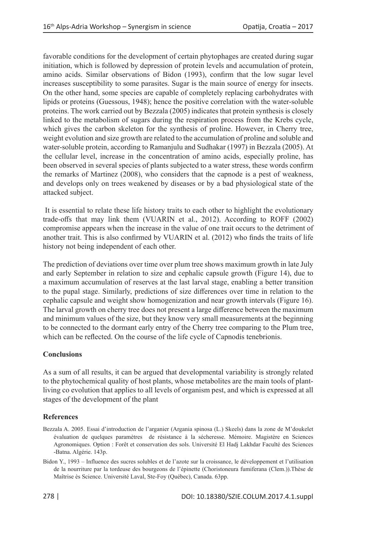favorable conditions for the development of certain phytophages are created during sugar initiation, which is followed by depression of protein levels and accumulation of protein, amino acids. Similar observations of Bidon (1993), confirm that the low sugar level increases susceptibility to some parasites. Sugar is the main source of energy for insects. On the other hand, some species are capable of completely replacing carbohydrates with lipids or proteins (Guessous, 1948); hence the positive correlation with the water-soluble proteins. The work carried out by Bezzala (2005) indicates that protein synthesis is closely linked to the metabolism of sugars during the respiration process from the Krebs cycle, which gives the carbon skeleton for the synthesis of proline. However, in Cherry tree, weight evolution and size growth are related to the accumulation of proline and soluble and water-soluble protein, according to Ramanjulu and Sudhakar (1997) in Bezzala (2005). At the cellular level, increase in the concentration of amino acids, especially proline, has been observed in several species of plants subjected to a water stress, these words confirm the remarks of Martinez (2008), who considers that the capnode is a pest of weakness, and develops only on trees weakened by diseases or by a bad physiological state of the attacked subject.

 It is essential to relate these life history traits to each other to highlight the evolutionary trade-offs that may link them (VUARIN et al., 2012). According to ROFF (2002) compromise appears when the increase in the value of one trait occurs to the detriment of another trait. This is also confirmed by VUARIN et al. (2012) who finds the traits of life history not being independent of each other.

The prediction of deviations over time over plum tree shows maximum growth in late July and early September in relation to size and cephalic capsule growth (Figure 14), due to a maximum accumulation of reserves at the last larval stage, enabling a better transition to the pupal stage. Similarly, predictions of size differences over time in relation to the cephalic capsule and weight show homogenization and near growth intervals (Figure 16). The larval growth on cherry tree does not present a large difference between the maximum and minimum values of the size, but they know very small measurements at the beginning to be connected to the dormant early entry of the Cherry tree comparing to the Plum tree, which can be reflected. On the course of the life cycle of Capnodis tenebrionis.

#### **Conclusions**

As a sum of all results, it can be argued that developmental variability is strongly related to the phytochemical quality of host plants, whose metabolites are the main tools of plantliving co evolution that applies to all levels of organism pest, and which is expressed at all stages of the development of the plant

#### **References**

- Bezzala A. 2005. Essai d'introduction de l'arganier (Argania spinosa (L.) Skeels) dans la zone de M'doukelet évaluation de quelques paramètres de résistance à la sécheresse. Mémoire. Magistère en Sciences Agronomiques. Option : Forêt et conservation des sols. Université El Hadj Lakhdar Faculté des Sciences -Batna. Algérie. 143p.
- Bidon Y., 1993 Influence des sucres solubles et de l'azote sur la croissance, le développement et l'utilisation de la nourriture par la tordeuse des bourgeons de l'épinette (Choristoneura fumiferana (Clem.)).Thèse de Maîtrise ès Science. Université Laval, Ste-Foy (Québec), Canada. 63pp.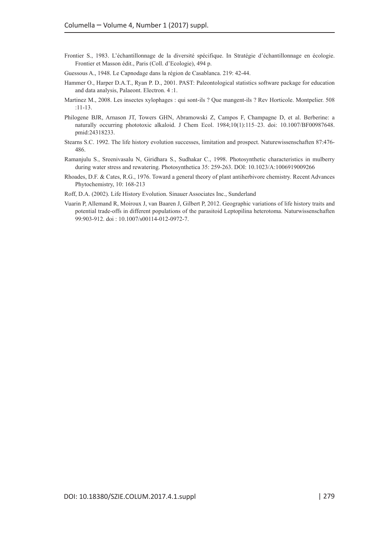- Frontier S., 1983. L'échantillonnage de la diversité spécifique. In Stratégie d'échantillonnage en écologie. Frontier et Masson édit., Paris (Coll. d'Ecologie), 494 p.
- Guessous A., 1948. Le Capnodage dans la région de Casablanca. 219: 42-44.
- Hammer O., Harper D.A.T., Ryan P. D., 2001. PAST: Paleontological statistics software package for education and data analysis, Palaeont. Electron. 4 :1.
- Martinez M., 2008. Les insectes xylophages : qui sont-ils ? Que mangent-ils ? Rev Horticole. Montpelier. 508 :11-13.
- Philogene BJR, Arnason JT, Towers GHN, Abramowski Z, Campos F, Champagne D, et al. Berberine: a naturally occurring phototoxic alkaloid. J Chem Ecol. 1984;10(1):115–23. doi: 10.1007/BF00987648. pmid:24318233.
- Stearns S.C. 1992. The life history evolution successes, limitation and prospect. Naturewissenschaften 87:476- 486.
- Ramanjulu S., Sreenivasalu N, Giridhara S., Sudhakar C., 1998. Photosynthetic characteristics in mulberry during water stress and rewatering. Photosynthetica 35: 259-263. DOI: 10.1023/A:1006919009266
- Rhoades, D.F. & Cates, R.G., 1976. Toward a general theory of plant antiherbivore chemistry. Recent Advances Phytochemistry, 10: 168-213
- Roff, D.A. (2002). Life History Evolution. Sinauer Associates Inc., Sunderland
- Vuarin P, Allemand R, Moiroux J, van Baaren J, Gilbert P, 2012. Geographic variations of life history traits and potential trade-offs in different populations of the parasitoid Leptopilina heterotoma. Naturwissenschaften 99:903-912. doi : 10.1007/s00114-012-0972-7.